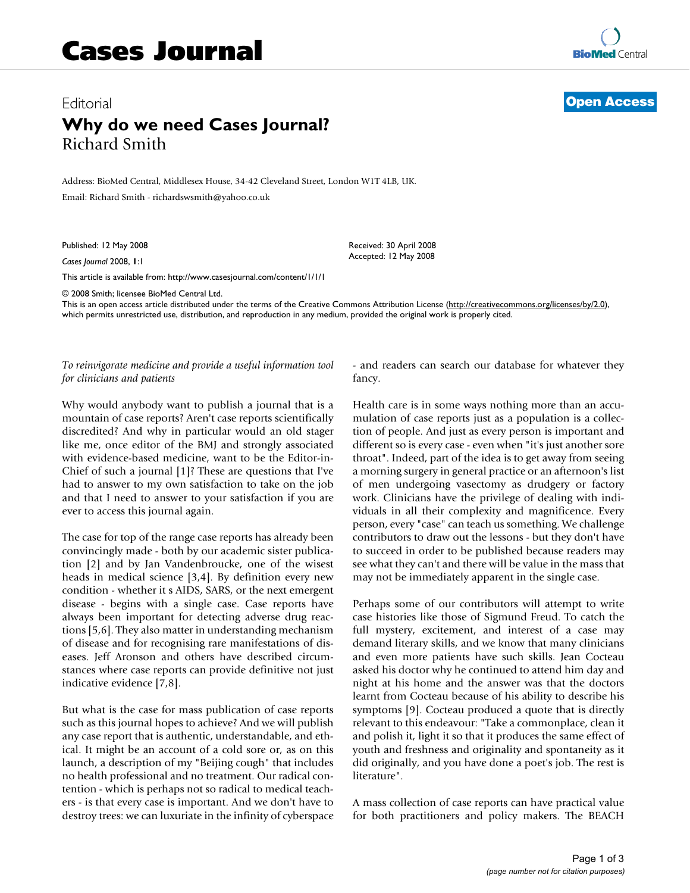## Editorial **[Open Access](http://www.biomedcentral.com/info/about/charter/) Why do we need Cases Journal?** Richard Smith

Address: BioMed Central, Middlesex House, 34-42 Cleveland Street, London W1T 4LB, UK.

Email: Richard Smith - richardswsmith@yahoo.co.uk

Published: 12 May 2008

*Cases Journal* 2008, **1**:1

[This article is available from: http://www.casesjournal.com/content/1/1/1](http://www.casesjournal.com/content/1/1/1)

© 2008 Smith; licensee BioMed Central Ltd.

This is an open access article distributed under the terms of the Creative Commons Attribution License [\(http://creativecommons.org/licenses/by/2.0\)](http://creativecommons.org/licenses/by/2.0), which permits unrestricted use, distribution, and reproduction in any medium, provided the original work is properly cited.

Received: 30 April 2008 Accepted: 12 May 2008

*To reinvigorate medicine and provide a useful information tool for clinicians and patients*

Why would anybody want to publish a journal that is a mountain of case reports? Aren't case reports scientifically discredited? And why in particular would an old stager like me, once editor of the BMJ and strongly associated with evidence-based medicine, want to be the Editor-in-Chief of such a journal [1]? These are questions that I've had to answer to my own satisfaction to take on the job and that I need to answer to your satisfaction if you are ever to access this journal again.

The case for top of the range case reports has already been convincingly made - both by our academic sister publication [2] and by Jan Vandenbroucke, one of the wisest heads in medical science [3,4]. By definition every new condition - whether it s AIDS, SARS, or the next emergent disease - begins with a single case. Case reports have always been important for detecting adverse drug reactions [5,6]. They also matter in understanding mechanism of disease and for recognising rare manifestations of diseases. Jeff Aronson and others have described circumstances where case reports can provide definitive not just indicative evidence [7,8].

But what is the case for mass publication of case reports such as this journal hopes to achieve? And we will publish any case report that is authentic, understandable, and ethical. It might be an account of a cold sore or, as on this launch, a description of my "Beijing cough" that includes no health professional and no treatment. Our radical contention - which is perhaps not so radical to medical teachers - is that every case is important. And we don't have to destroy trees: we can luxuriate in the infinity of cyberspace - and readers can search our database for whatever they fancy.

Health care is in some ways nothing more than an accumulation of case reports just as a population is a collection of people. And just as every person is important and different so is every case - even when "it's just another sore throat". Indeed, part of the idea is to get away from seeing a morning surgery in general practice or an afternoon's list of men undergoing vasectomy as drudgery or factory work. Clinicians have the privilege of dealing with individuals in all their complexity and magnificence. Every person, every "case" can teach us something. We challenge contributors to draw out the lessons - but they don't have to succeed in order to be published because readers may see what they can't and there will be value in the mass that may not be immediately apparent in the single case.

Perhaps some of our contributors will attempt to write case histories like those of Sigmund Freud. To catch the full mystery, excitement, and interest of a case may demand literary skills, and we know that many clinicians and even more patients have such skills. Jean Cocteau asked his doctor why he continued to attend him day and night at his home and the answer was that the doctors learnt from Cocteau because of his ability to describe his symptoms [9]. Cocteau produced a quote that is directly relevant to this endeavour: "Take a commonplace, clean it and polish it, light it so that it produces the same effect of youth and freshness and originality and spontaneity as it did originally, and you have done a poet's job. The rest is literature".

A mass collection of case reports can have practical value for both practitioners and policy makers. The BEACH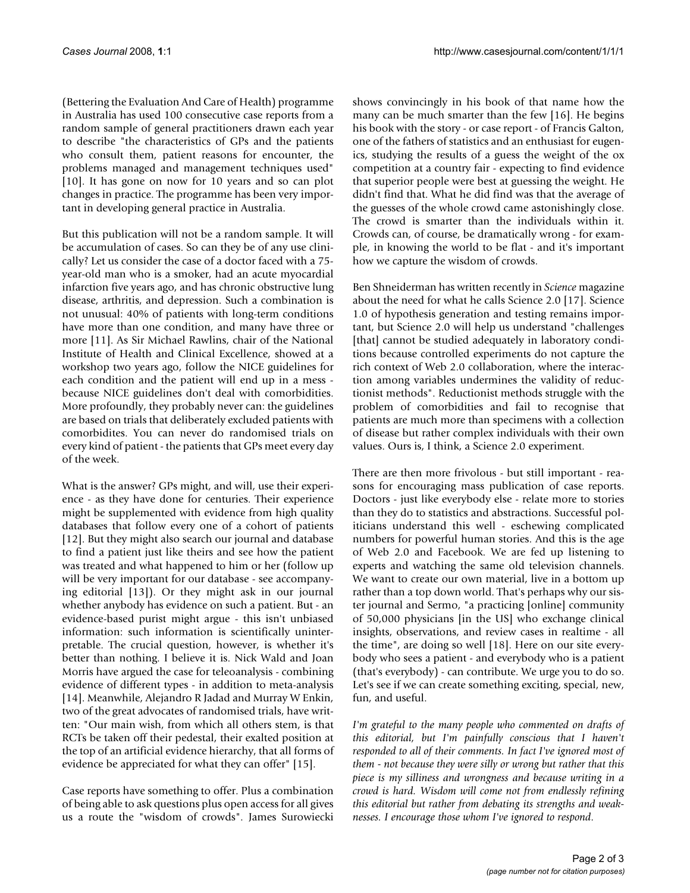(Bettering the Evaluation And Care of Health) programme in Australia has used 100 consecutive case reports from a random sample of general practitioners drawn each year to describe "the characteristics of GPs and the patients who consult them, patient reasons for encounter, the problems managed and management techniques used" [10]. It has gone on now for 10 years and so can plot changes in practice. The programme has been very important in developing general practice in Australia.

But this publication will not be a random sample. It will be accumulation of cases. So can they be of any use clinically? Let us consider the case of a doctor faced with a 75 year-old man who is a smoker, had an acute myocardial infarction five years ago, and has chronic obstructive lung disease, arthritis, and depression. Such a combination is not unusual: 40% of patients with long-term conditions have more than one condition, and many have three or more [11]. As Sir Michael Rawlins, chair of the National Institute of Health and Clinical Excellence, showed at a workshop two years ago, follow the NICE guidelines for each condition and the patient will end up in a mess because NICE guidelines don't deal with comorbidities. More profoundly, they probably never can: the guidelines are based on trials that deliberately excluded patients with comorbidites. You can never do randomised trials on every kind of patient - the patients that GPs meet every day of the week.

What is the answer? GPs might, and will, use their experience - as they have done for centuries. Their experience might be supplemented with evidence from high quality databases that follow every one of a cohort of patients [12]. But they might also search our journal and database to find a patient just like theirs and see how the patient was treated and what happened to him or her (follow up will be very important for our database - see accompanying editorial [13]). Or they might ask in our journal whether anybody has evidence on such a patient. But - an evidence-based purist might argue - this isn't unbiased information: such information is scientifically uninterpretable. The crucial question, however, is whether it's better than nothing. I believe it is. Nick Wald and Joan Morris have argued the case for teleoanalysis - combining evidence of different types - in addition to meta-analysis [14]. Meanwhile, Alejandro R Jadad and Murray W Enkin, two of the great advocates of randomised trials, have written: "Our main wish, from which all others stem, is that RCTs be taken off their pedestal, their exalted position at the top of an artificial evidence hierarchy, that all forms of evidence be appreciated for what they can offer" [15].

Case reports have something to offer. Plus a combination of being able to ask questions plus open access for all gives us a route the "wisdom of crowds". James Surowiecki

shows convincingly in his book of that name how the many can be much smarter than the few [16]. He begins his book with the story - or case report - of Francis Galton, one of the fathers of statistics and an enthusiast for eugenics, studying the results of a guess the weight of the ox competition at a country fair - expecting to find evidence that superior people were best at guessing the weight. He didn't find that. What he did find was that the average of the guesses of the whole crowd came astonishingly close. The crowd is smarter than the individuals within it. Crowds can, of course, be dramatically wrong - for example, in knowing the world to be flat - and it's important how we capture the wisdom of crowds.

Ben Shneiderman has written recently in *Science* magazine about the need for what he calls Science 2.0 [17]. Science 1.0 of hypothesis generation and testing remains important, but Science 2.0 will help us understand "challenges [that] cannot be studied adequately in laboratory conditions because controlled experiments do not capture the rich context of Web 2.0 collaboration, where the interaction among variables undermines the validity of reductionist methods". Reductionist methods struggle with the problem of comorbidities and fail to recognise that patients are much more than specimens with a collection of disease but rather complex individuals with their own values. Ours is, I think, a Science 2.0 experiment.

There are then more frivolous - but still important - reasons for encouraging mass publication of case reports. Doctors - just like everybody else - relate more to stories than they do to statistics and abstractions. Successful politicians understand this well - eschewing complicated numbers for powerful human stories. And this is the age of Web 2.0 and Facebook. We are fed up listening to experts and watching the same old television channels. We want to create our own material, live in a bottom up rather than a top down world. That's perhaps why our sister journal and Sermo, "a practicing [online] community of 50,000 physicians [in the US] who exchange clinical insights, observations, and review cases in realtime - all the time", are doing so well [18]. Here on our site everybody who sees a patient - and everybody who is a patient (that's everybody) - can contribute. We urge you to do so. Let's see if we can create something exciting, special, new, fun, and useful.

*I'm grateful to the many people who commented on drafts of this editorial, but I'm painfully conscious that I haven't responded to all of their comments. In fact I've ignored most of them - not because they were silly or wrong but rather that this piece is my silliness and wrongness and because writing in a crowd is hard. Wisdom will come not from endlessly refining this editorial but rather from debating its strengths and weaknesses. I encourage those whom I've ignored to respond*.